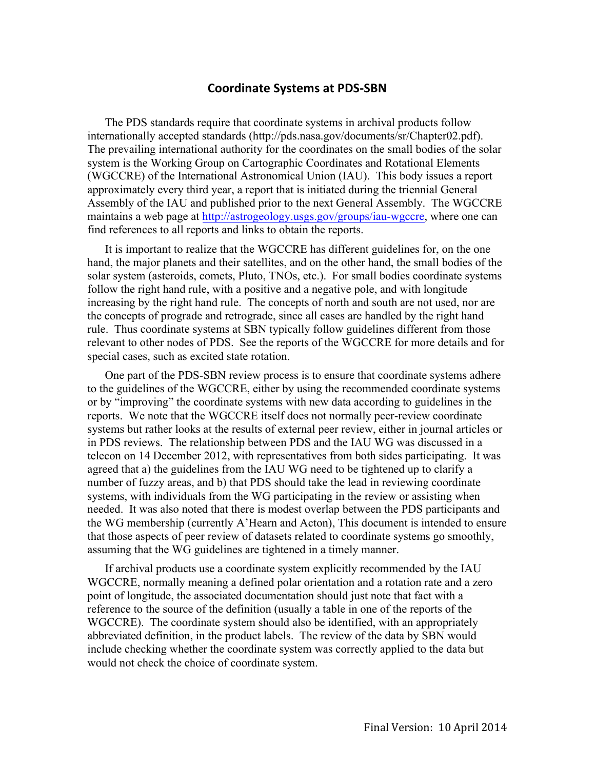## **Coordinate Systems at PDS-SBN**

The PDS standards require that coordinate systems in archival products follow internationally accepted standards (http://pds.nasa.gov/documents/sr/Chapter02.pdf). The prevailing international authority for the coordinates on the small bodies of the solar system is the Working Group on Cartographic Coordinates and Rotational Elements (WGCCRE) of the International Astronomical Union (IAU). This body issues a report approximately every third year, a report that is initiated during the triennial General Assembly of the IAU and published prior to the next General Assembly. The WGCCRE maintains a web page at http://astrogeology.usgs.gov/groups/iau-wgccre, where one can find references to all reports and links to obtain the reports.

It is important to realize that the WGCCRE has different guidelines for, on the one hand, the major planets and their satellites, and on the other hand, the small bodies of the solar system (asteroids, comets, Pluto, TNOs, etc.). For small bodies coordinate systems follow the right hand rule, with a positive and a negative pole, and with longitude increasing by the right hand rule. The concepts of north and south are not used, nor are the concepts of prograde and retrograde, since all cases are handled by the right hand rule. Thus coordinate systems at SBN typically follow guidelines different from those relevant to other nodes of PDS. See the reports of the WGCCRE for more details and for special cases, such as excited state rotation.

One part of the PDS-SBN review process is to ensure that coordinate systems adhere to the guidelines of the WGCCRE, either by using the recommended coordinate systems or by "improving" the coordinate systems with new data according to guidelines in the reports. We note that the WGCCRE itself does not normally peer-review coordinate systems but rather looks at the results of external peer review, either in journal articles or in PDS reviews. The relationship between PDS and the IAU WG was discussed in a telecon on 14 December 2012, with representatives from both sides participating. It was agreed that a) the guidelines from the IAU WG need to be tightened up to clarify a number of fuzzy areas, and b) that PDS should take the lead in reviewing coordinate systems, with individuals from the WG participating in the review or assisting when needed. It was also noted that there is modest overlap between the PDS participants and the WG membership (currently A'Hearn and Acton), This document is intended to ensure that those aspects of peer review of datasets related to coordinate systems go smoothly, assuming that the WG guidelines are tightened in a timely manner.

If archival products use a coordinate system explicitly recommended by the IAU WGCCRE, normally meaning a defined polar orientation and a rotation rate and a zero point of longitude, the associated documentation should just note that fact with a reference to the source of the definition (usually a table in one of the reports of the WGCCRE). The coordinate system should also be identified, with an appropriately abbreviated definition, in the product labels. The review of the data by SBN would include checking whether the coordinate system was correctly applied to the data but would not check the choice of coordinate system.